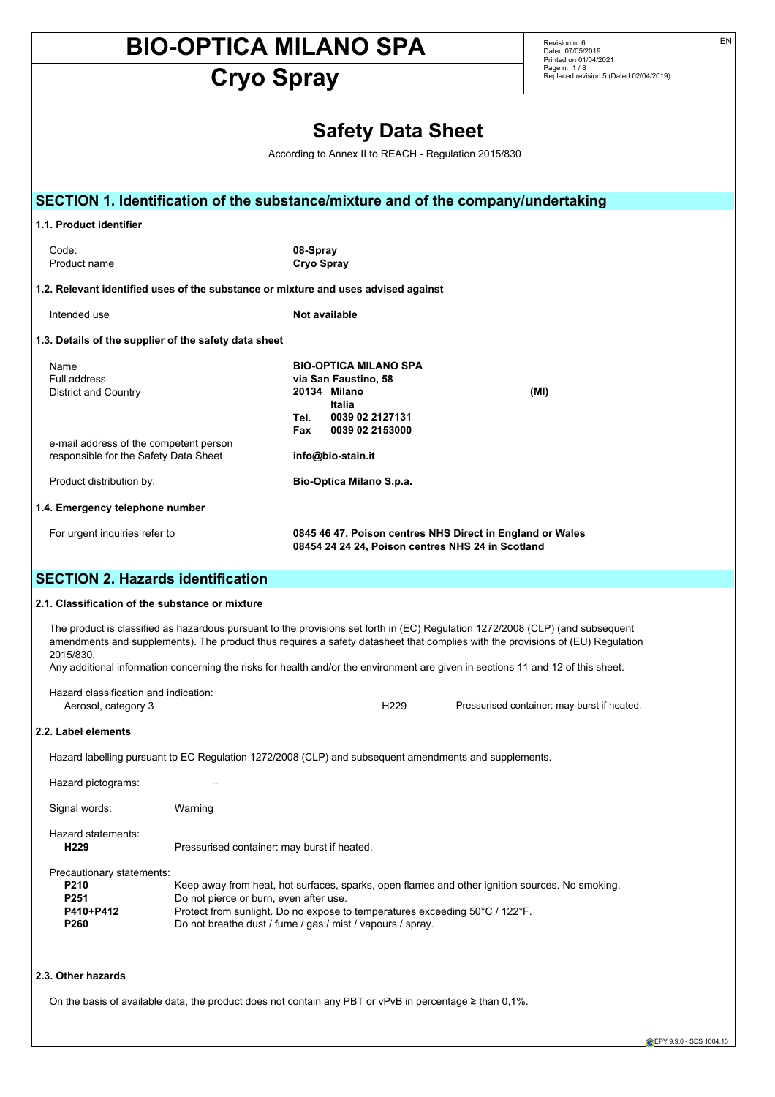# **Cryo Spray**

Revision nr.6<br>Dated 07/05/2019<br>Printed on 01/04/2021<br>Page n. 1 / 8<br>Replaced revision:5 (Dated 02/04/2019)

| <b>Safety Data Sheet</b><br>According to Annex II to REACH - Regulation 2015/830   |                                                                                                                                                                                     |                                                                                                                |                                                                                                                      |                                                                                                                                                                                                                                                                                                                                                                                                      |
|------------------------------------------------------------------------------------|-------------------------------------------------------------------------------------------------------------------------------------------------------------------------------------|----------------------------------------------------------------------------------------------------------------|----------------------------------------------------------------------------------------------------------------------|------------------------------------------------------------------------------------------------------------------------------------------------------------------------------------------------------------------------------------------------------------------------------------------------------------------------------------------------------------------------------------------------------|
|                                                                                    |                                                                                                                                                                                     |                                                                                                                |                                                                                                                      | SECTION 1. Identification of the substance/mixture and of the company/undertaking                                                                                                                                                                                                                                                                                                                    |
| 1.1. Product identifier                                                            |                                                                                                                                                                                     |                                                                                                                |                                                                                                                      |                                                                                                                                                                                                                                                                                                                                                                                                      |
| Code:<br>Product name                                                              |                                                                                                                                                                                     | 08-Spray<br><b>Cryo Spray</b>                                                                                  |                                                                                                                      |                                                                                                                                                                                                                                                                                                                                                                                                      |
| 1.2. Relevant identified uses of the substance or mixture and uses advised against |                                                                                                                                                                                     |                                                                                                                |                                                                                                                      |                                                                                                                                                                                                                                                                                                                                                                                                      |
| Intended use                                                                       |                                                                                                                                                                                     | Not available                                                                                                  |                                                                                                                      |                                                                                                                                                                                                                                                                                                                                                                                                      |
| 1.3. Details of the supplier of the safety data sheet                              |                                                                                                                                                                                     |                                                                                                                |                                                                                                                      |                                                                                                                                                                                                                                                                                                                                                                                                      |
| Name<br>Full address<br>District and Country                                       |                                                                                                                                                                                     | Tel.<br>Fax                                                                                                    | <b>BIO-OPTICA MILANO SPA</b><br>via San Faustino, 58<br>20134 Milano<br>Italia<br>0039 02 2127131<br>0039 02 2153000 | (MI)                                                                                                                                                                                                                                                                                                                                                                                                 |
| e-mail address of the competent person<br>responsible for the Safety Data Sheet    |                                                                                                                                                                                     |                                                                                                                | info@bio-stain.it                                                                                                    |                                                                                                                                                                                                                                                                                                                                                                                                      |
| Product distribution by:                                                           |                                                                                                                                                                                     |                                                                                                                | Bio-Optica Milano S.p.a.                                                                                             |                                                                                                                                                                                                                                                                                                                                                                                                      |
| 1.4. Emergency telephone number                                                    |                                                                                                                                                                                     |                                                                                                                |                                                                                                                      |                                                                                                                                                                                                                                                                                                                                                                                                      |
| For urgent inquiries refer to                                                      |                                                                                                                                                                                     | 0845 46 47, Poison centres NHS Direct in England or Wales<br>08454 24 24 24, Poison centres NHS 24 in Scotland |                                                                                                                      |                                                                                                                                                                                                                                                                                                                                                                                                      |
| <b>SECTION 2. Hazards identification</b>                                           |                                                                                                                                                                                     |                                                                                                                |                                                                                                                      |                                                                                                                                                                                                                                                                                                                                                                                                      |
| 2.1. Classification of the substance or mixture                                    |                                                                                                                                                                                     |                                                                                                                |                                                                                                                      |                                                                                                                                                                                                                                                                                                                                                                                                      |
| 2015/830.                                                                          |                                                                                                                                                                                     |                                                                                                                |                                                                                                                      | The product is classified as hazardous pursuant to the provisions set forth in (EC) Regulation 1272/2008 (CLP) (and subsequent<br>amendments and supplements). The product thus requires a safety datasheet that complies with the provisions of (EU) Regulation<br>Any additional information concerning the risks for health and/or the environment are given in sections 11 and 12 of this sheet. |
| Hazard classification and indication:<br>Aerosol, category 3                       |                                                                                                                                                                                     |                                                                                                                | H <sub>229</sub>                                                                                                     | Pressurised container: may burst if heated.                                                                                                                                                                                                                                                                                                                                                          |
| 2.2. Label elements                                                                |                                                                                                                                                                                     |                                                                                                                |                                                                                                                      |                                                                                                                                                                                                                                                                                                                                                                                                      |
|                                                                                    | Hazard labelling pursuant to EC Regulation 1272/2008 (CLP) and subsequent amendments and supplements.                                                                               |                                                                                                                |                                                                                                                      |                                                                                                                                                                                                                                                                                                                                                                                                      |
| Hazard pictograms:                                                                 |                                                                                                                                                                                     |                                                                                                                |                                                                                                                      |                                                                                                                                                                                                                                                                                                                                                                                                      |
| Signal words:                                                                      | Warning                                                                                                                                                                             |                                                                                                                |                                                                                                                      |                                                                                                                                                                                                                                                                                                                                                                                                      |
| Hazard statements:<br>H <sub>229</sub>                                             | Pressurised container: may burst if heated.                                                                                                                                         |                                                                                                                |                                                                                                                      |                                                                                                                                                                                                                                                                                                                                                                                                      |
| Precautionary statements:<br>P210<br>P <sub>251</sub><br>P410+P412<br>P260         | Do not pierce or burn, even after use.<br>Protect from sunlight. Do no expose to temperatures exceeding 50°C / 122°F.<br>Do not breathe dust / fume / gas / mist / vapours / spray. |                                                                                                                |                                                                                                                      | Keep away from heat, hot surfaces, sparks, open flames and other ignition sources. No smoking.                                                                                                                                                                                                                                                                                                       |
| 2.3. Other hazards                                                                 |                                                                                                                                                                                     |                                                                                                                |                                                                                                                      |                                                                                                                                                                                                                                                                                                                                                                                                      |
|                                                                                    | On the basis of available data, the product does not contain any PBT or vPvB in percentage $\geq$ than 0,1%.                                                                        |                                                                                                                |                                                                                                                      |                                                                                                                                                                                                                                                                                                                                                                                                      |

EN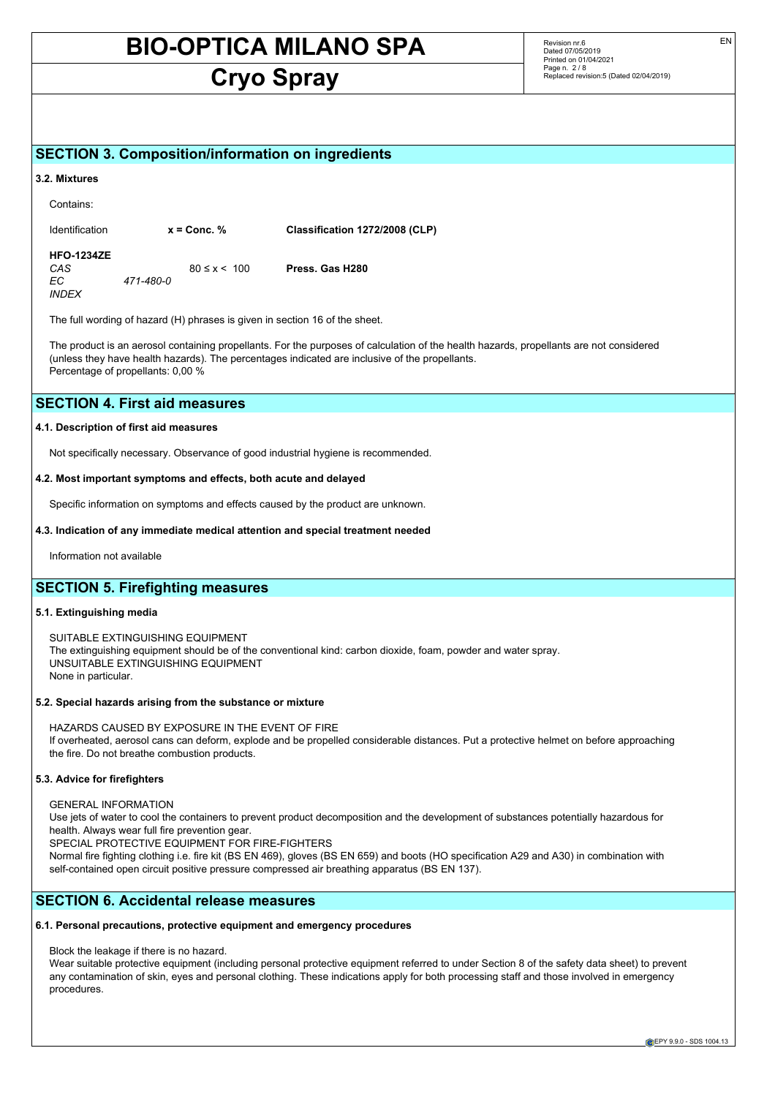# **Cryo Spray**

Revision nr.6 Dated 07/05/2019 Printed on 01/04/2021 Page n. 2 / 8 Replaced revision:5 (Dated 02/04/2019)

# **SECTION 3. Composition/information on ingredients**

#### **3.2. Mixtures**

| Contains:                                             |           |                    |                                |
|-------------------------------------------------------|-----------|--------------------|--------------------------------|
| <b>Identification</b>                                 |           | $x =$ Conc. %      | Classification 1272/2008 (CLP) |
| <b>HFO-1234ZE</b><br>CAS<br>EС<br><i><b>INDEX</b></i> | 471-480-0 | $80 \le x \le 100$ | Press. Gas H280                |

The full wording of hazard (H) phrases is given in section 16 of the sheet.

The product is an aerosol containing propellants. For the purposes of calculation of the health hazards, propellants are not considered (unless they have health hazards). The percentages indicated are inclusive of the propellants. Percentage of propellants: 0,00 %

# **SECTION 4. First aid measures**

#### **4.1. Description of first aid measures**

Not specifically necessary. Observance of good industrial hygiene is recommended.

# **4.2. Most important symptoms and effects, both acute and delayed**

Specific information on symptoms and effects caused by the product are unknown.

#### **4.3. Indication of any immediate medical attention and special treatment needed**

Information not available

# **SECTION 5. Firefighting measures**

## **5.1. Extinguishing media**

SUITABLE EXTINGUISHING EQUIPMENT The extinguishing equipment should be of the conventional kind: carbon dioxide, foam, powder and water spray. UNSUITABLE EXTINGUISHING EQUIPMENT None in particular.

#### **5.2. Special hazards arising from the substance or mixture**

HAZARDS CAUSED BY EXPOSURE IN THE EVENT OF FIRE If overheated, aerosol cans can deform, explode and be propelled considerable distances. Put a protective helmet on before approaching the fire. Do not breathe combustion products.

# **5.3. Advice for firefighters**

GENERAL INFORMATION

Use jets of water to cool the containers to prevent product decomposition and the development of substances potentially hazardous for health. Always wear full fire prevention gear.

SPECIAL PROTECTIVE EQUIPMENT FOR FIRE-FIGHTERS

Normal fire fighting clothing i.e. fire kit (BS EN 469), gloves (BS EN 659) and boots (HO specification A29 and A30) in combination with self-contained open circuit positive pressure compressed air breathing apparatus (BS EN 137).

# **SECTION 6. Accidental release measures**

# **6.1. Personal precautions, protective equipment and emergency procedures**

Block the leakage if there is no hazard.

Wear suitable protective equipment (including personal protective equipment referred to under Section 8 of the safety data sheet) to prevent any contamination of skin, eyes and personal clothing. These indications apply for both processing staff and those involved in emergency procedures.

EN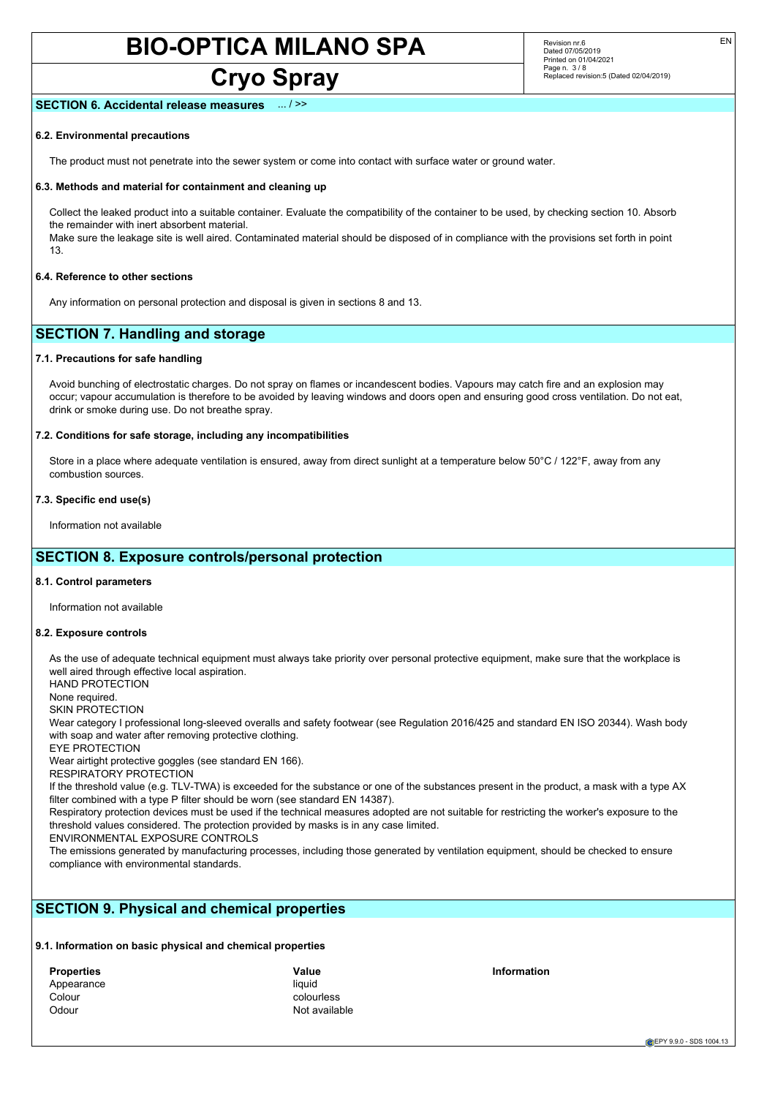# **Cryo Spray**

Revision nr.6 Dated 07/05/2019 Printed on 01/04/2021 Page n. 3/8 Replaced revision:5 (Dated 02/04/2019) EN

## **SECTION 6. Accidental release measures**

# **6.2. Environmental precautions**

The product must not penetrate into the sewer system or come into contact with surface water or ground water.

#### **6.3. Methods and material for containment and cleaning up**

Collect the leaked product into a suitable container. Evaluate the compatibility of the container to be used, by checking section 10. Absorb the remainder with inert absorbent material.

Make sure the leakage site is well aired. Contaminated material should be disposed of in compliance with the provisions set forth in point 13.

#### **6.4. Reference to other sections**

Any information on personal protection and disposal is given in sections 8 and 13.

# **SECTION 7. Handling and storage**

## **7.1. Precautions for safe handling**

Avoid bunching of electrostatic charges. Do not spray on flames or incandescent bodies. Vapours may catch fire and an explosion may occur; vapour accumulation is therefore to be avoided by leaving windows and doors open and ensuring good cross ventilation. Do not eat, drink or smoke during use. Do not breathe spray.

# **7.2. Conditions for safe storage, including any incompatibilities**

Store in a place where adequate ventilation is ensured, away from direct sunlight at a temperature below 50°C / 122°F, away from any combustion sources.

#### **7.3. Specific end use(s)**

Information not available

# **SECTION 8. Exposure controls/personal protection**

## **8.1. Control parameters**

Information not available

## **8.2. Exposure controls**

As the use of adequate technical equipment must always take priority over personal protective equipment, make sure that the workplace is well aired through effective local aspiration.

HAND PROTECTION

None required.

SKIN PROTECTION

Wear category I professional long-sleeved overalls and safety footwear (see Regulation 2016/425 and standard EN ISO 20344). Wash body with soap and water after removing protective clothing.

EYE PROTECTION

Wear airtight protective goggles (see standard EN 166).

RESPIRATORY PROTECTION

If the threshold value (e.g. TLV-TWA) is exceeded for the substance or one of the substances present in the product, a mask with a type AX filter combined with a type P filter should be worn (see standard EN 14387).

Respiratory protection devices must be used if the technical measures adopted are not suitable for restricting the worker's exposure to the threshold values considered. The protection provided by masks is in any case limited.

ENVIRONMENTAL EXPOSURE CONTROLS

The emissions generated by manufacturing processes, including those generated by ventilation equipment, should be checked to ensure compliance with environmental standards.

# **SECTION 9. Physical and chemical properties**

# **9.1. Information on basic physical and chemical properties**

| <b>Properties</b> | Value  |
|-------------------|--------|
| Appearance        | liauid |
| Colour            | colou  |
| Odour             | Not a  |

**Properties Value Information** colourless Not available

EPY 9.9.0 - SDS 1004.13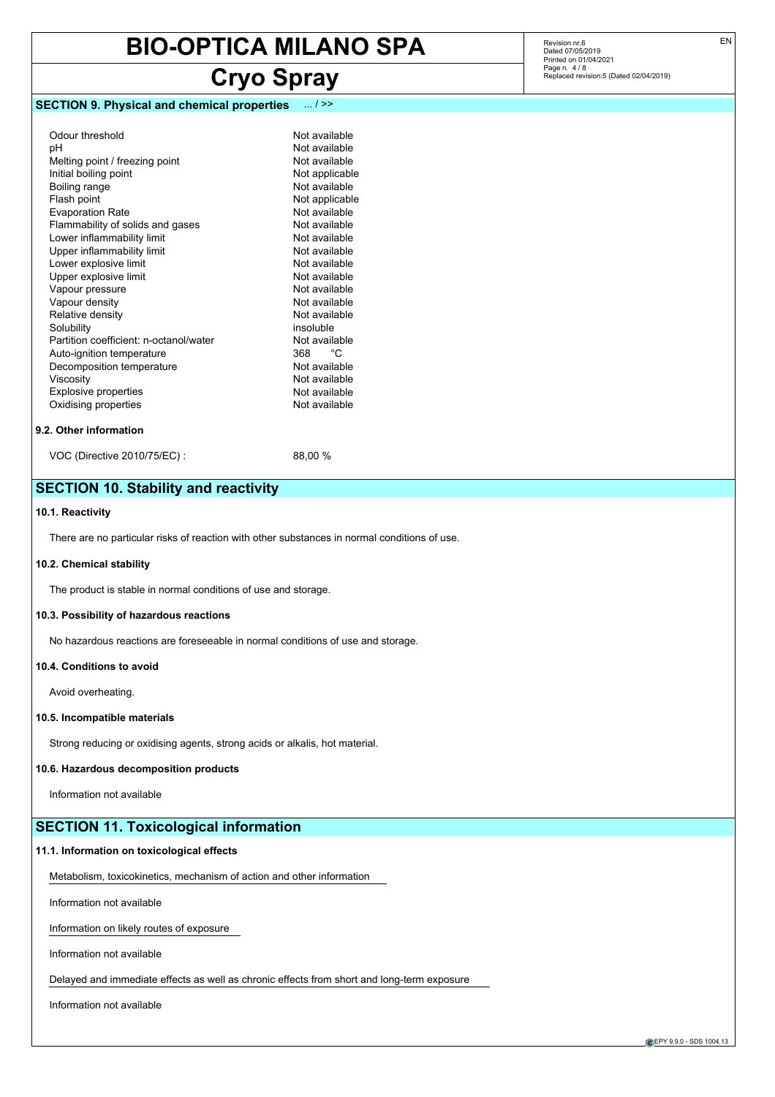# **Cryo Spray**

# **SECTION 9. Physical and chemical properties** ... / >>

| Odour threshold                        | Not available  |
|----------------------------------------|----------------|
| рH                                     | Not available  |
| Melting point / freezing point         | Not available  |
| Initial boiling point                  | Not applicable |
| Boiling range                          | Not available  |
| Flash point                            | Not applicable |
| <b>Evaporation Rate</b>                | Not available  |
| Flammability of solids and gases       | Not available  |
| Lower inflammability limit             | Not available  |
| Upper inflammability limit             | Not available  |
| Lower explosive limit                  | Not available  |
| Upper explosive limit                  | Not available  |
| Vapour pressure                        | Not available  |
| Vapour density                         | Not available  |
| Relative density                       | Not available  |
| Solubility                             | insoluble      |
| Partition coefficient: n-octanol/water | Not available  |
| Auto-ignition temperature              | °C<br>368      |
| Decomposition temperature              | Not available  |
| Viscosity                              | Not available  |
| <b>Explosive properties</b>            | Not available  |
| Oxidising properties                   | Not available  |

Revision nr.6 Dated 07/05/2019 Printed on 01/04/2021 Page n. 4/8 Replaced revision:5 (Dated 02/04/2019)

#### **9.2. Other information**

Oxidising properties

VOC (Directive 2010/75/EC) : 88,00 %

# **SECTION 10. Stability and reactivity**

# **10.1. Reactivity**

There are no particular risks of reaction with other substances in normal conditions of use.

## **10.2. Chemical stability**

The product is stable in normal conditions of use and storage.

#### **10.3. Possibility of hazardous reactions**

No hazardous reactions are foreseeable in normal conditions of use and storage.

## **10.4. Conditions to avoid**

Avoid overheating.

## **10.5. Incompatible materials**

Strong reducing or oxidising agents, strong acids or alkalis, hot material.

## **10.6. Hazardous decomposition products**

Information not available

# **SECTION 11. Toxicological information**

#### **11.1. Information on toxicological effects**

Metabolism, toxicokinetics, mechanism of action and other information

Information not available

Information on likely routes of exposure

Information not available

Delayed and immediate effects as well as chronic effects from short and long-term exposure

Information not available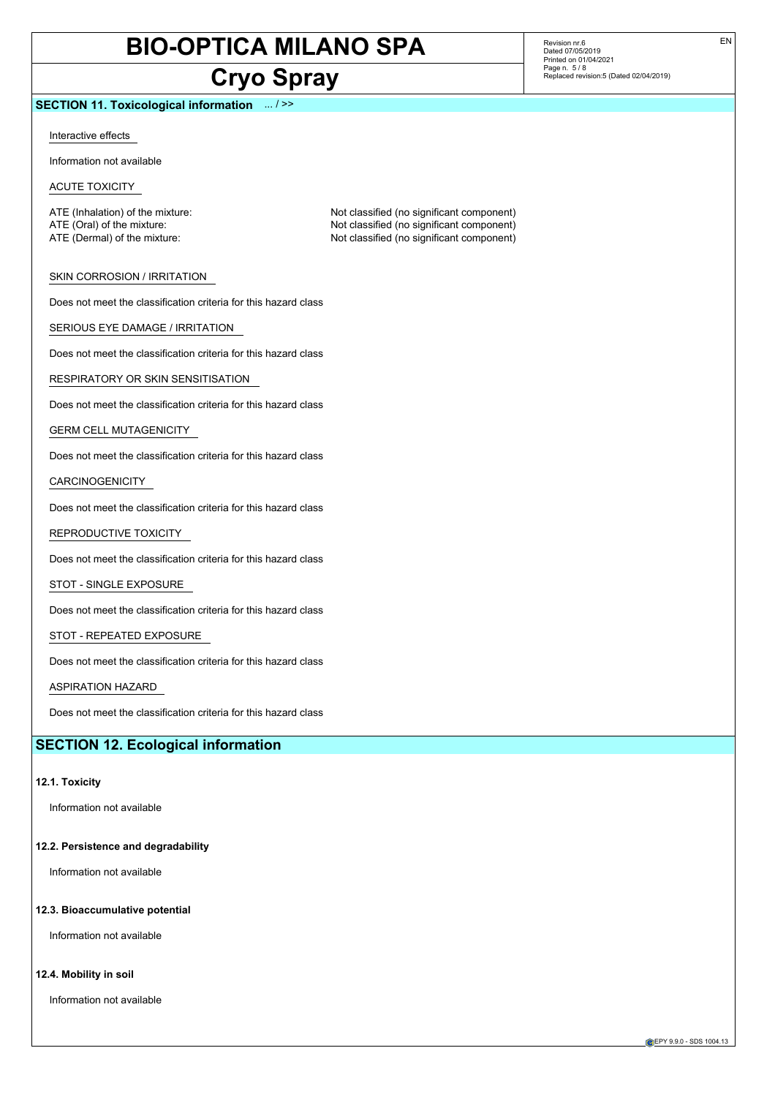# **Cryo Spray**

Not classified (no significant component)

# **SECTION 11. Toxicological information** ... / >>

Interactive effects

Information not available

ACUTE TOXICITY

ATE (Inhalation) of the mixture: Not classified (no significant component) ATE (Oral) of the mixture:  $\overline{AB}$  ATE (Oral) of the mixture:  $\overline{AB}$  ATE (Dermal) of the mixture:  $\overline{AB}$  ATE (Dermal) of the mixture:

SKIN CORROSION / IRRITATION

Does not meet the classification criteria for this hazard class

SERIOUS EYE DAMAGE / IRRITATION

Does not meet the classification criteria for this hazard class

RESPIRATORY OR SKIN SENSITISATION

Does not meet the classification criteria for this hazard class

GERM CELL MUTAGENICITY

Does not meet the classification criteria for this hazard class

CARCINOGENICITY

Does not meet the classification criteria for this hazard class

REPRODUCTIVE TOXICITY

Does not meet the classification criteria for this hazard class

STOT - SINGLE EXPOSURE

Does not meet the classification criteria for this hazard class

## STOT - REPEATED EXPOSURE

Does not meet the classification criteria for this hazard class

ASPIRATION HAZARD

Does not meet the classification criteria for this hazard class

# **SECTION 12. Ecological information**

#### **12.1. Toxicity**

Information not available

**12.2. Persistence and degradability**

Information not available

#### **12.3. Bioaccumulative potential**

Information not available

# **12.4. Mobility in soil**

Information not available

Revision nr.6 Dated 07/05/2019 Printed on 01/04/2021 Page n. 5 / 8 Replaced revision:5 (Dated 02/04/2019)

EPY 9.9.0 - SDS 1004.13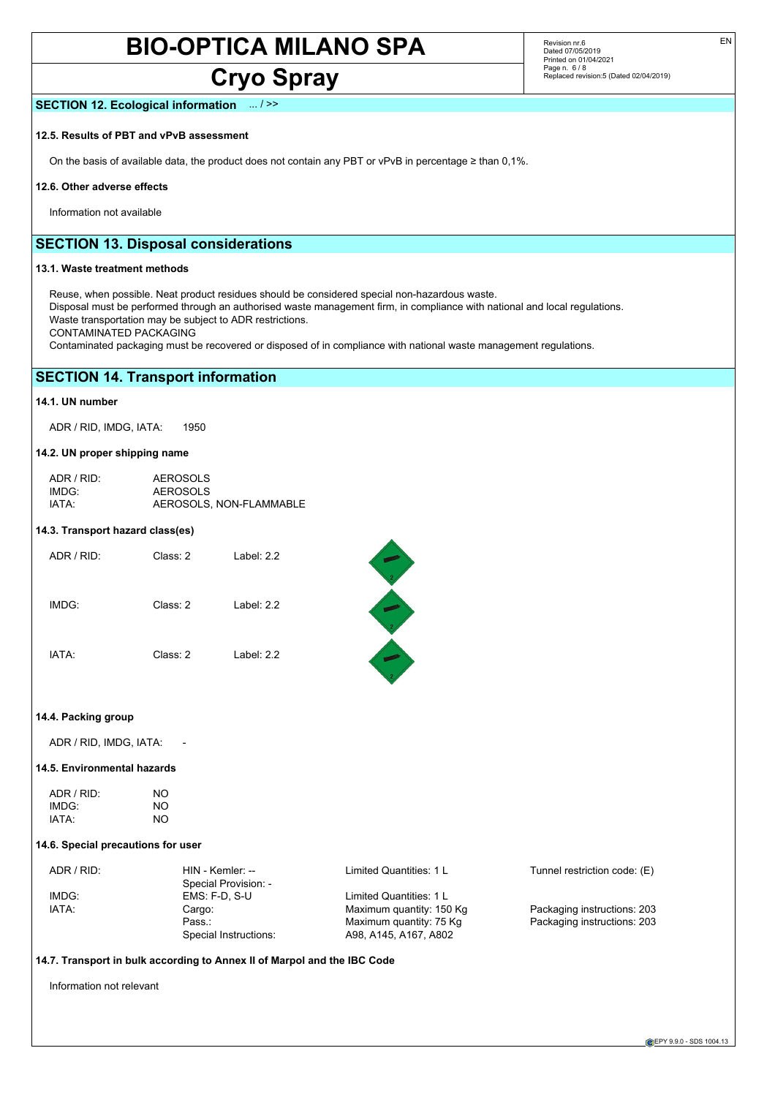# **Cryo Spray**

Revision nr.6 Dated 07/05/2019 Printed on 01/04/2021 Page n. 6/8 Replaced revision:5 (Dated 02/04/2019)

# **SECTION 12. Ecological information** ... / >>

## **12.5. Results of PBT and vPvB assessment**

On the basis of available data, the product does not contain any PBT or vPvB in percentage ≥ than 0,1%.

## **12.6. Other adverse effects**

Information not available

# **SECTION 13. Disposal considerations**

# **13.1. Waste treatment methods**

Reuse, when possible. Neat product residues should be considered special non-hazardous waste. Disposal must be performed through an authorised waste management firm, in compliance with national and local regulations. Waste transportation may be subject to ADR restrictions. CONTAMINATED PACKAGING

Contaminated packaging must be recovered or disposed of in compliance with national waste management regulations.

# **SECTION 14. Transport information**

# **14.1. UN number**

ADR / RID, IMDG, IATA: 1950

# **14.2. UN proper shipping name**

| $ADR/RID+$        | <b>AEROSOLS</b>         |
|-------------------|-------------------------|
| IMDG <sup>.</sup> | <b>AEROSOLS</b>         |
| IATA:             | AEROSOLS, NON-FLAMMABLE |

#### **14.3. Transport hazard class(es)**

| ADR / RID: | Class: 2 | Label: $2.2$ |
|------------|----------|--------------|
| IMDG:      | Class: 2 | Label: $2.2$ |
| IATA:      | Class: 2 | Label: $2.2$ |

# 

## **14.4. Packing group**

ADR / RID, IMDG, IATA:

# **14.5. Environmental hazards**

| ADR / RID: | NO |
|------------|----|
| IMDG:      | NΟ |
| IATA:      | NΟ |

#### **14.6. Special precautions for user**

| ADR / RID: | HIN - Kemler: --      | Limited Quantities: 1 L  | Tunnel restriction code: (E) |
|------------|-----------------------|--------------------------|------------------------------|
|            | Special Provision: -  |                          |                              |
| IMDG:      | $EMS: F-D. S-U$       | Limited Quantities: 1 L  |                              |
| IATA:      | Cargo:                | Maximum quantity: 150 Kg | Packaging instructions: 203  |
|            | Pass.:                | Maximum quantity: 75 Kg  | Packaging instructions: 203  |
|            | Special Instructions: | A98, A145, A167, A802    |                              |

# **14.7. Transport in bulk according to Annex II of Marpol and the IBC Code**

Information not relevant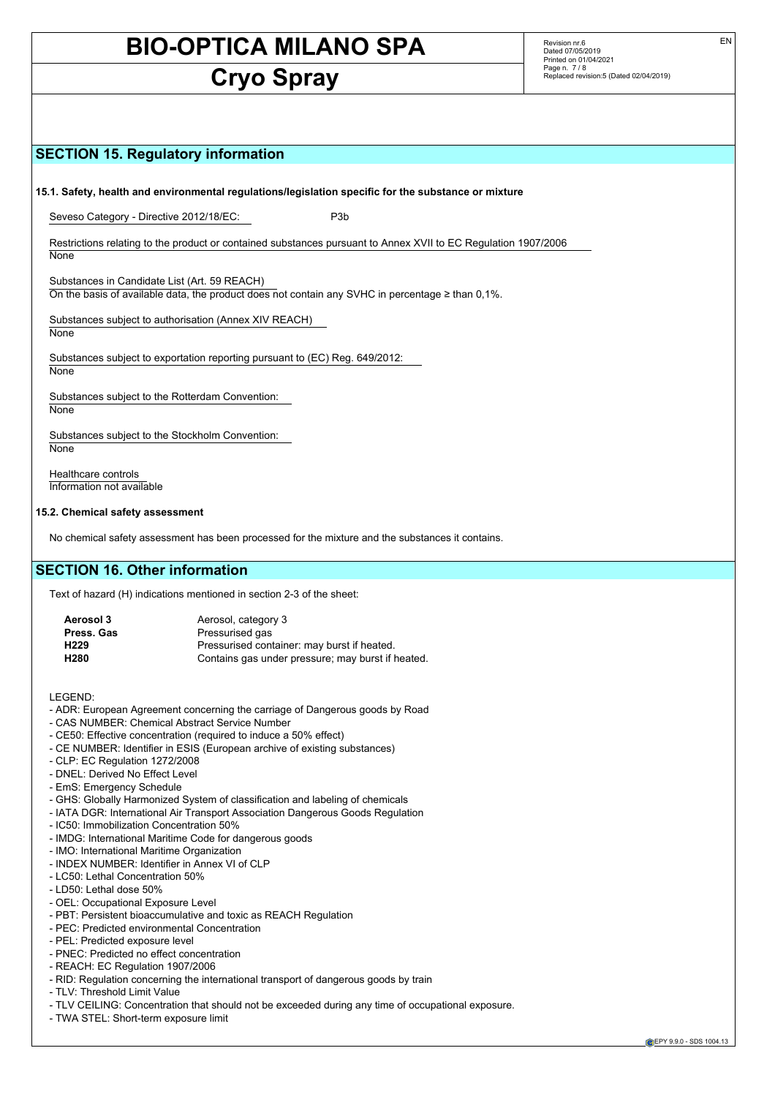# **Cryo Spray**

Revision nr.6 Dated 07/05/2019 Printed on 01/04/2021 Page n. 7 / 8 Replaced revision:5 (Dated 02/04/2019)

# **SECTION 15. Regulatory information**

**15.1. Safety, health and environmental regulations/legislation specific for the substance or mixture**

Seveso Category - Directive 2012/18/EC: P3b

Restrictions relating to the product or contained substances pursuant to Annex XVII to EC Regulation 1907/2006 **None** 

Substances in Candidate List (Art. 59 REACH) On the basis of available data, the product does not contain any SVHC in percentage ≥ than 0,1%.

Substances subject to authorisation (Annex XIV REACH) **None** 

Substances subject to exportation reporting pursuant to (EC) Reg. 649/2012: None

Substances subject to the Rotterdam Convention: **None** 

Substances subject to the Stockholm Convention: **None** 

Healthcare controls Information not available

## **15.2. Chemical safety assessment**

No chemical safety assessment has been processed for the mixture and the substances it contains.

# **SECTION 16. Other information**

Text of hazard (H) indications mentioned in section 2-3 of the sheet:

| Aerosol 3        | Aerosol, category 3                               |
|------------------|---------------------------------------------------|
| Press, Gas       | Pressurised gas                                   |
| H <sub>229</sub> | Pressurised container: may burst if heated.       |
| H <sub>280</sub> | Contains gas under pressure; may burst if heated. |
|                  |                                                   |

LEGEND:

- ADR: European Agreement concerning the carriage of Dangerous goods by Road
- CAS NUMBER: Chemical Abstract Service Number
- CE50: Effective concentration (required to induce a 50% effect)
- CE NUMBER: Identifier in ESIS (European archive of existing substances)
- CLP: EC Regulation 1272/2008
- DNEL: Derived No Effect Level
- EmS: Emergency Schedule
- GHS: Globally Harmonized System of classification and labeling of chemicals
- IATA DGR: International Air Transport Association Dangerous Goods Regulation
- IC50: Immobilization Concentration 50%
- IMDG: International Maritime Code for dangerous goods
- IMO: International Maritime Organization
- INDEX NUMBER: Identifier in Annex VI of CLP
- LC50: Lethal Concentration 50%
- LD50: Lethal dose 50%
- OEL: Occupational Exposure Level
- PBT: Persistent bioaccumulative and toxic as REACH Regulation
- PEC: Predicted environmental Concentration
- PEL: Predicted exposure level
- PNEC: Predicted no effect concentration
- REACH: EC Regulation 1907/2006
- RID: Regulation concerning the international transport of dangerous goods by train
- TLV: Threshold Limit Value
- TLV CEILING: Concentration that should not be exceeded during any time of occupational exposure.
- TWA STEL: Short-term exposure limit

EN